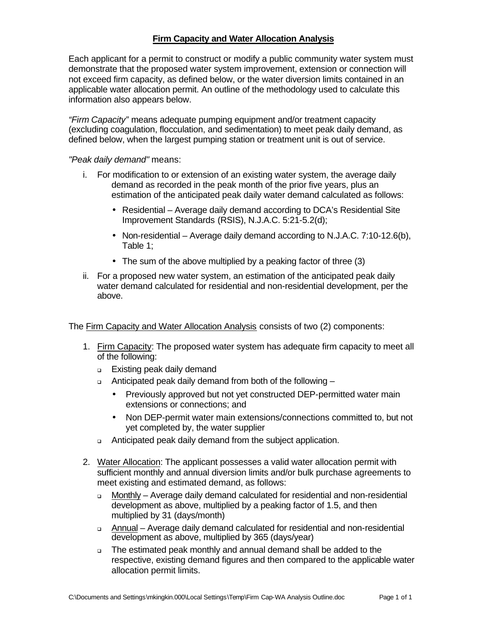### **Firm Capacity and Water Allocation Analysis**

Each applicant for a permit to construct or modify a public community water system must demonstrate that the proposed water system improvement, extension or connection will not exceed firm capacity, as defined below, or the water diversion limits contained in an applicable water allocation permit. An outline of the methodology used to calculate this information also appears below.

*"Firm Capacity"* means adequate pumping equipment and/or treatment capacity (excluding coagulation, flocculation, and sedimentation) to meet peak daily demand, as defined below, when the largest pumping station or treatment unit is out of service.

*"Peak daily demand"* means:

- i. For modification to or extension of an existing water system, the average daily demand as recorded in the peak month of the prior five years, plus an estimation of the anticipated peak daily water demand calculated as follows:
	- Residential Average daily demand according to DCA's Residential Site Improvement Standards (RSIS), N.J.A.C. 5:21-5.2(d);
	- Non-residential Average daily demand according to N.J.A.C. 7:10-12.6(b), Table 1;
	- The sum of the above multiplied by a peaking factor of three (3)
- ii. For a proposed new water system, an estimation of the anticipated peak daily water demand calculated for residential and non-residential development, per the above.

The Firm Capacity and Water Allocation Analysis consists of two (2) components:

- 1. Firm Capacity: The proposed water system has adequate firm capacity to meet all of the following:
	- <sup>q</sup> Existing peak daily demand
	- <sup>q</sup> Anticipated peak daily demand from both of the following
		- Previously approved but not yet constructed DEP-permitted water main extensions or connections; and
		- Non DEP-permit water main extensions/connections committed to, but not yet completed by, the water supplier
	- <sup>q</sup> Anticipated peak daily demand from the subject application.
- 2. Water Allocation: The applicant possesses a valid water allocation permit with sufficient monthly and annual diversion limits and/or bulk purchase agreements to meet existing and estimated demand, as follows:
	- <sup>q</sup> Monthly Average daily demand calculated for residential and non-residential development as above, multiplied by a peaking factor of 1.5, and then multiplied by 31 (days/month)
	- <sup>q</sup> Annual Average daily demand calculated for residential and non-residential development as above, multiplied by 365 (days/year)
	- <sup>q</sup> The estimated peak monthly and annual demand shall be added to the respective, existing demand figures and then compared to the applicable water allocation permit limits.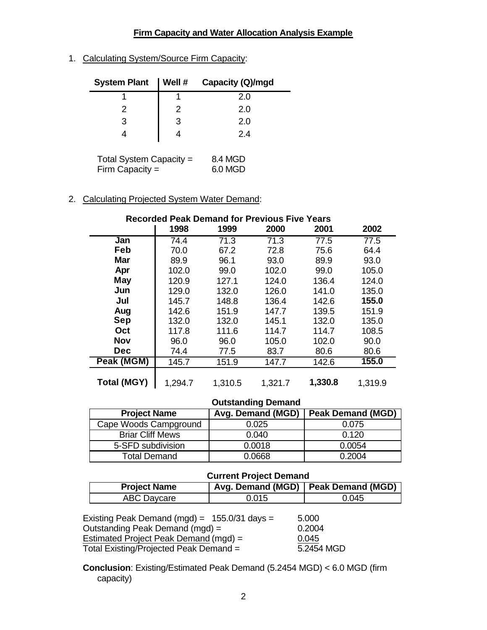# **Firm Capacity and Water Allocation Analysis Example**

1. Calculating System/Source Firm Capacity:

| <b>System Plant</b>         | $\vert$ Well # | Capacity (Q)/mgd |
|-----------------------------|----------------|------------------|
|                             |                | 2.0              |
|                             |                | 2.0              |
| 3                           | 3              | 2.0              |
|                             |                | 2.4              |
| $T$ etal Ouetaire Osisaaltu |                | . <del>.</del>   |

Total System Capacity  $=$  8.4 MGD Firm Capacity = 6.0 MGD

# 2. Calculating Projected System Water Demand:

| <b>Recorded Peak Demand for Previous Five Years</b> |         |         |         |         |         |
|-----------------------------------------------------|---------|---------|---------|---------|---------|
|                                                     | 1998    | 1999    | 2000    | 2001    | 2002    |
| Jan                                                 | 74.4    | 71.3    | 71.3    | 77.5    | 77.5    |
| Feb                                                 | 70.0    | 67.2    | 72.8    | 75.6    | 64.4    |
| <b>Mar</b>                                          | 89.9    | 96.1    | 93.0    | 89.9    | 93.0    |
| Apr                                                 | 102.0   | 99.0    | 102.0   | 99.0    | 105.0   |
| <b>May</b>                                          | 120.9   | 127.1   | 124.0   | 136.4   | 124.0   |
| Jun                                                 | 129.0   | 132.0   | 126.0   | 141.0   | 135.0   |
| Jul                                                 | 145.7   | 148.8   | 136.4   | 142.6   | 155.0   |
| Aug                                                 | 142.6   | 151.9   | 147.7   | 139.5   | 151.9   |
| Sep                                                 | 132.0   | 132.0   | 145.1   | 132.0   | 135.0   |
| Oct                                                 | 117.8   | 111.6   | 114.7   | 114.7   | 108.5   |
| <b>Nov</b>                                          | 96.0    | 96.0    | 105.0   | 102.0   | 90.0    |
| <b>Dec</b>                                          | 74.4    | 77.5    | 83.7    | 80.6    | 80.6    |
| Peak (MGM)                                          | 145.7   | 151.9   | 147.7   | 142.6   | 155.0   |
| <b>Total (MGY)</b>                                  | 1,294.7 | 1,310.5 | 1,321.7 | 1,330.8 | 1,319.9 |

### **Outstanding Demand**

| <b>Project Name</b>     | Avg. Demand (MGD) | <b>Peak Demand (MGD)</b> |  |  |
|-------------------------|-------------------|--------------------------|--|--|
| Cape Woods Campground   | 0.025             | 0.075                    |  |  |
| <b>Briar Cliff Mews</b> | 0.040             | 0.120                    |  |  |
| 5-SFD subdivision       | 0.0018            | 0.0054                   |  |  |
| Total Demand            | 0.0668            | 0.2004                   |  |  |

#### **Current Project Demand**

| 9.11                |                                       |       |  |  |
|---------------------|---------------------------------------|-------|--|--|
| <b>Project Name</b> | Avg. Demand (MGD)   Peak Demand (MGD) |       |  |  |
| ABC Daycare         | 0.015                                 | 0.045 |  |  |

| Existing Peak Demand (mgd) = $155.0/31$ days = | 5.000      |
|------------------------------------------------|------------|
| Outstanding Peak Demand (mgd) =                | 0.2004     |
| Estimated Project Peak Demand (mgd) =          | 0.045      |
| Total Existing/Projected Peak Demand =         | 5.2454 MGD |

**Conclusion**: Existing/Estimated Peak Demand (5.2454 MGD) < 6.0 MGD (firm capacity)